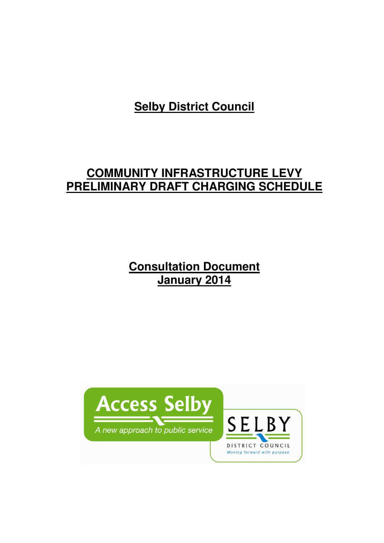**Selby District Council**

# **COMMUNITY INFRASTRUCTURE LEVY PRELIMINARY DRAFT CHARGING SCHEDULE**

**Consultation Document January 2014**

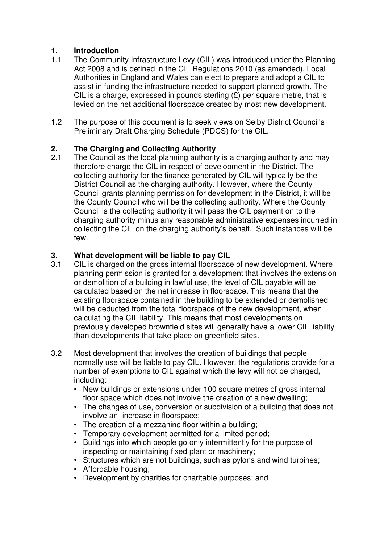# **1. Introduction**

- 1.1 The Community Infrastructure Levy (CIL) was introduced under the Planning Act 2008 and is defined in the CIL Regulations 2010 (as amended). Local Authorities in England and Wales can elect to prepare and adopt a CIL to assist in funding the infrastructure needed to support planned growth. The CIL is a charge, expressed in pounds sterling  $(E)$  per square metre, that is levied on the net additional floorspace created by most new development.
- 1.2 The purpose of this document is to seek views on Selby District Council's Preliminary Draft Charging Schedule (PDCS) for the CIL.

# **2. The Charging and Collecting Authority**

2.1 The Council as the local planning authority is a charging authority and may therefore charge the CIL in respect of development in the District. The collecting authority for the finance generated by CIL will typically be the District Council as the charging authority. However, where the County Council grants planning permission for development in the District, it will be the County Council who will be the collecting authority. Where the County Council is the collecting authority it will pass the CIL payment on to the charging authority minus any reasonable administrative expenses incurred in collecting the CIL on the charging authority's behalf. Such instances will be few.

# **3. What development will be liable to pay CIL**

- 3.1 CIL is charged on the gross internal floorspace of new development. Where planning permission is granted for a development that involves the extension or demolition of a building in lawful use, the level of CIL payable will be calculated based on the net increase in floorspace. This means that the existing floorspace contained in the building to be extended or demolished will be deducted from the total floorspace of the new development, when calculating the CIL liability. This means that most developments on previously developed brownfield sites will generally have a lower CIL liability than developments that take place on greenfield sites.
- 3.2 Most development that involves the creation of buildings that people normally use will be liable to pay CIL. However, the regulations provide for a number of exemptions to CIL against which the levy will not be charged, including:
	- New buildings or extensions under 100 square metres of gross internal floor space which does not involve the creation of a new dwelling;
	- The changes of use, conversion or subdivision of a building that does not involve an increase in floorspace;
	- The creation of a mezzanine floor within a building;
	- Temporary development permitted for a limited period;
	- Buildings into which people go only intermittently for the purpose of inspecting or maintaining fixed plant or machinery;
	- Structures which are not buildings, such as pylons and wind turbines;
	- Affordable housing;
	- Development by charities for charitable purposes; and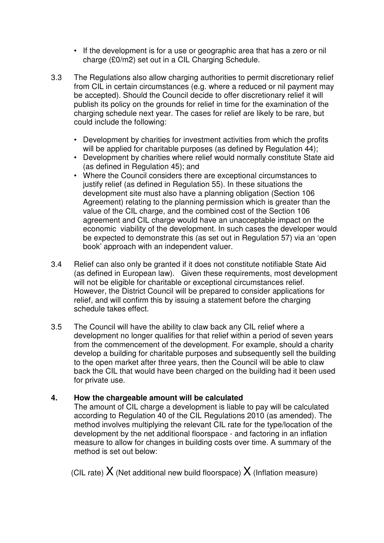- If the development is for a use or geographic area that has a zero or nil charge (£0/m2) set out in a CIL Charging Schedule.
- 3.3 The Regulations also allow charging authorities to permit discretionary relief from CIL in certain circumstances (e.g. where a reduced or nil payment may be accepted). Should the Council decide to offer discretionary relief it will publish its policy on the grounds for relief in time for the examination of the charging schedule next year. The cases for relief are likely to be rare, but could include the following:
	- Development by charities for investment activities from which the profits will be applied for charitable purposes (as defined by Regulation 44);
	- Development by charities where relief would normally constitute State aid (as defined in Regulation 45); and
	- Where the Council considers there are exceptional circumstances to justify relief (as defined in Regulation 55). In these situations the development site must also have a planning obligation (Section 106 Agreement) relating to the planning permission which is greater than the value of the CIL charge, and the combined cost of the Section 106 agreement and CIL charge would have an unacceptable impact on the economic viability of the development. In such cases the developer would be expected to demonstrate this (as set out in Regulation 57) via an 'open book' approach with an independent valuer.
- 3.4 Relief can also only be granted if it does not constitute notifiable State Aid (as defined in European law). Given these requirements, most development will not be eligible for charitable or exceptional circumstances relief. However, the District Council will be prepared to consider applications for relief, and will confirm this by issuing a statement before the charging schedule takes effect.
- 3.5 The Council will have the ability to claw back any CIL relief where a development no longer qualifies for that relief within a period of seven years from the commencement of the development. For example, should a charity develop a building for charitable purposes and subsequently sell the building to the open market after three years, then the Council will be able to claw back the CIL that would have been charged on the building had it been used for private use.

## **4. How the chargeable amount will be calculated**

The amount of CIL charge a development is liable to pay will be calculated according to Regulation 40 of the CIL Regulations 2010 (as amended). The method involves multiplying the relevant CIL rate for the type/location of the development by the net additional floorspace - and factoring in an inflation measure to allow for changes in building costs over time. A summary of the method is set out below:

(CIL rate)  $X$  (Net additional new build floorspace)  $X$  (Inflation measure)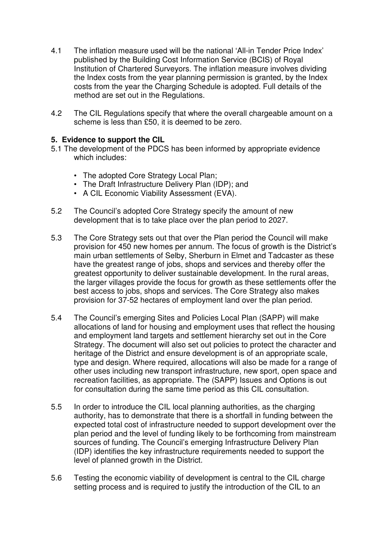- 4.1 The inflation measure used will be the national 'All-in Tender Price Index' published by the Building Cost Information Service (BCIS) of Royal Institution of Chartered Surveyors. The inflation measure involves dividing the Index costs from the year planning permission is granted, by the Index costs from the year the Charging Schedule is adopted. Full details of the method are set out in the Regulations.
- 4.2 The CIL Regulations specify that where the overall chargeable amount on a scheme is less than £50, it is deemed to be zero.

## **5. Evidence to support the CIL**

- 5.1 The development of the PDCS has been informed by appropriate evidence which includes:
	- The adopted Core Strategy Local Plan;
	- The Draft Infrastructure Delivery Plan (IDP); and
	- A CIL Economic Viability Assessment (EVA).
- 5.2 The Council's adopted Core Strategy specify the amount of new development that is to take place over the plan period to 2027.
- 5.3 The Core Strategy sets out that over the Plan period the Council will make provision for 450 new homes per annum. The focus of growth is the District's main urban settlements of Selby, Sherburn in Elmet and Tadcaster as these have the greatest range of jobs, shops and services and thereby offer the greatest opportunity to deliver sustainable development. In the rural areas, the larger villages provide the focus for growth as these settlements offer the best access to jobs, shops and services. The Core Strategy also makes provision for 37-52 hectares of employment land over the plan period.
- 5.4 The Council's emerging Sites and Policies Local Plan (SAPP) will make allocations of land for housing and employment uses that reflect the housing and employment land targets and settlement hierarchy set out in the Core Strategy. The document will also set out policies to protect the character and heritage of the District and ensure development is of an appropriate scale, type and design. Where required, allocations will also be made for a range of other uses including new transport infrastructure, new sport, open space and recreation facilities, as appropriate. The (SAPP) Issues and Options is out for consultation during the same time period as this CIL consultation.
- 5.5 In order to introduce the CIL local planning authorities, as the charging authority, has to demonstrate that there is a shortfall in funding between the expected total cost of infrastructure needed to support development over the plan period and the level of funding likely to be forthcoming from mainstream sources of funding. The Council's emerging Infrastructure Delivery Plan (IDP) identifies the key infrastructure requirements needed to support the level of planned growth in the District.
- 5.6 Testing the economic viability of development is central to the CIL charge setting process and is required to justify the introduction of the CIL to an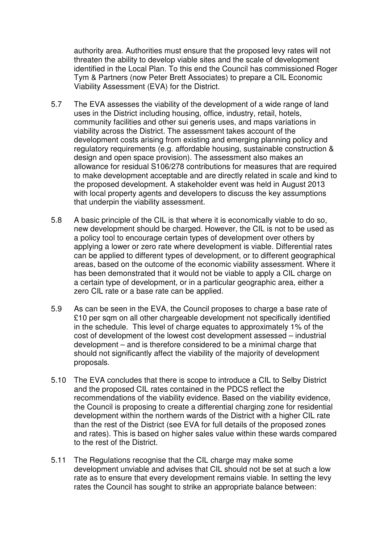authority area. Authorities must ensure that the proposed levy rates will not threaten the ability to develop viable sites and the scale of development identified in the Local Plan. To this end the Council has commissioned Roger Tym & Partners (now Peter Brett Associates) to prepare a CIL Economic Viability Assessment (EVA) for the District.

- 5.7 The EVA assesses the viability of the development of a wide range of land uses in the District including housing, office, industry, retail, hotels, community facilities and other sui generis uses, and maps variations in viability across the District. The assessment takes account of the development costs arising from existing and emerging planning policy and regulatory requirements (e.g. affordable housing, sustainable construction & design and open space provision). The assessment also makes an allowance for residual S106/278 contributions for measures that are required to make development acceptable and are directly related in scale and kind to the proposed development. A stakeholder event was held in August 2013 with local property agents and developers to discuss the key assumptions that underpin the viability assessment.
- 5.8 A basic principle of the CIL is that where it is economically viable to do so, new development should be charged. However, the CIL is not to be used as a policy tool to encourage certain types of development over others by applying a lower or zero rate where development is viable. Differential rates can be applied to different types of development, or to different geographical areas, based on the outcome of the economic viability assessment. Where it has been demonstrated that it would not be viable to apply a CIL charge on a certain type of development, or in a particular geographic area, either a zero CIL rate or a base rate can be applied.
- 5.9 As can be seen in the EVA, the Council proposes to charge a base rate of £10 per sqm on all other chargeable development not specifically identified in the schedule. This level of charge equates to approximately 1% of the cost of development of the lowest cost development assessed – industrial development – and is therefore considered to be a minimal charge that should not significantly affect the viability of the majority of development proposals.
- 5.10 The EVA concludes that there is scope to introduce a CIL to Selby District and the proposed CIL rates contained in the PDCS reflect the recommendations of the viability evidence. Based on the viability evidence, the Council is proposing to create a differential charging zone for residential development within the northern wards of the District with a higher CIL rate than the rest of the District (see EVA for full details of the proposed zones and rates). This is based on higher sales value within these wards compared to the rest of the District.
- 5.11 The Regulations recognise that the CIL charge may make some development unviable and advises that CIL should not be set at such a low rate as to ensure that every development remains viable. In setting the levy rates the Council has sought to strike an appropriate balance between: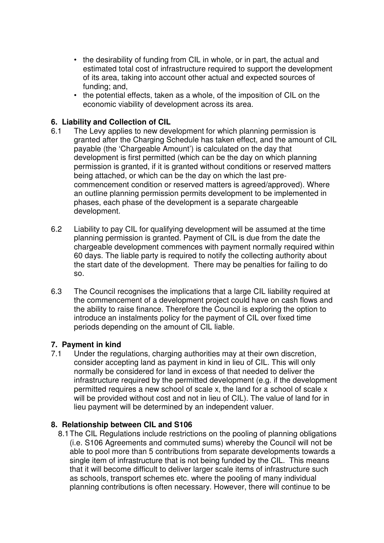- the desirability of funding from CIL in whole, or in part, the actual and estimated total cost of infrastructure required to support the development of its area, taking into account other actual and expected sources of funding; and,
- the potential effects, taken as a whole, of the imposition of CIL on the economic viability of development across its area.

## **6. Liability and Collection of CIL**

- 6.1 The Levy applies to new development for which planning permission is granted after the Charging Schedule has taken effect, and the amount of CIL payable (the 'Chargeable Amount') is calculated on the day that development is first permitted (which can be the day on which planning permission is granted, if it is granted without conditions or reserved matters being attached, or which can be the day on which the last pre commencement condition or reserved matters is agreed/approved). Where an outline planning permission permits development to be implemented in phases, each phase of the development is a separate chargeable development.
- 6.2 Liability to pay CIL for qualifying development will be assumed at the time planning permission is granted. Payment of CIL is due from the date the chargeable development commences with payment normally required within 60 days. The liable party is required to notify the collecting authority about the start date of the development. There may be penalties for failing to do so.
- 6.3 The Council recognises the implications that a large CIL liability required at the commencement of a development project could have on cash flows and the ability to raise finance. Therefore the Council is exploring the option to introduce an instalments policy for the payment of CIL over fixed time periods depending on the amount of CIL liable.

#### **7. Payment in kind**

7.1 Under the regulations, charging authorities may at their own discretion, consider accepting land as payment in kind in lieu of CIL. This will only normally be considered for land in excess of that needed to deliver the infrastructure required by the permitted development (e.g. if the development permitted requires a new school of scale x, the land for a school of scale x will be provided without cost and not in lieu of CIL). The value of land for in lieu payment will be determined by an independent valuer.

#### **8. Relationship between CIL and S106**

8.1The CIL Regulations include restrictions on the pooling of planning obligations (i.e. S106 Agreements and commuted sums) whereby the Council will not be able to pool more than 5 contributions from separate developments towards a single item of infrastructure that is not being funded by the CIL. This means that it will become difficult to deliver larger scale items of infrastructure such as schools, transport schemes etc. where the pooling of many individual planning contributions is often necessary. However, there will continue to be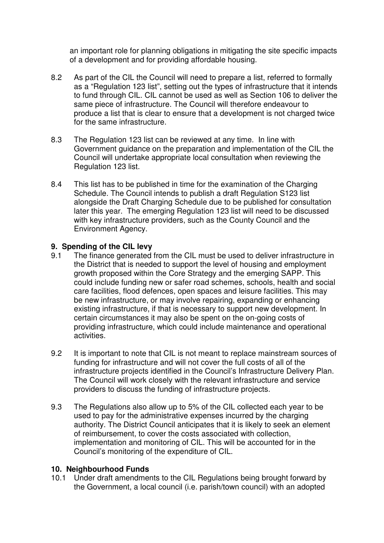an important role for planning obligations in mitigating the site specific impacts of a development and for providing affordable housing.

- 8.2 As part of the CIL the Council will need to prepare a list, referred to formally as a "Regulation 123 list", setting out the types of infrastructure that it intends to fund through CIL. CIL cannot be used as well as Section 106 to deliver the same piece of infrastructure. The Council will therefore endeavour to produce a list that is clear to ensure that a development is not charged twice for the same infrastructure.
- 8.3 The Regulation 123 list can be reviewed at any time. In line with Government guidance on the preparation and implementation of the CIL the Council will undertake appropriate local consultation when reviewing the Regulation 123 list.
- 8.4 This list has to be published in time for the examination of the Charging Schedule. The Council intends to publish a draft Regulation S123 list alongside the Draft Charging Schedule due to be published for consultation later this year. The emerging Regulation 123 list will need to be discussed with key infrastructure providers, such as the County Council and the Environment Agency.

### **9. Spending of the CIL levy**

- 9.1 The finance generated from the CIL must be used to deliver infrastructure in the District that is needed to support the level of housing and employment growth proposed within the Core Strategy and the emerging SAPP. This could include funding new or safer road schemes, schools, health and social care facilities, flood defences, open spaces and leisure facilities. This may be new infrastructure, or may involve repairing, expanding or enhancing existing infrastructure, if that is necessary to support new development. In certain circumstances it may also be spent on the on-going costs of providing infrastructure, which could include maintenance and operational activities.
- 9.2 It is important to note that CIL is not meant to replace mainstream sources of funding for infrastructure and will not cover the full costs of all of the infrastructure projects identified in the Council's Infrastructure Delivery Plan. The Council will work closely with the relevant infrastructure and service providers to discuss the funding of infrastructure projects.
- 9.3 The Regulations also allow up to 5% of the CIL collected each year to be used to pay for the administrative expenses incurred by the charging authority. The District Council anticipates that it is likely to seek an element of reimbursement, to cover the costs associated with collection, implementation and monitoring of CIL. This will be accounted for in the Council's monitoring of the expenditure of CIL.

#### **10. Neighbourhood Funds**

10.1 Under draft amendments to the CIL Regulations being brought forward by the Government, a local council (i.e. parish/town council) with an adopted